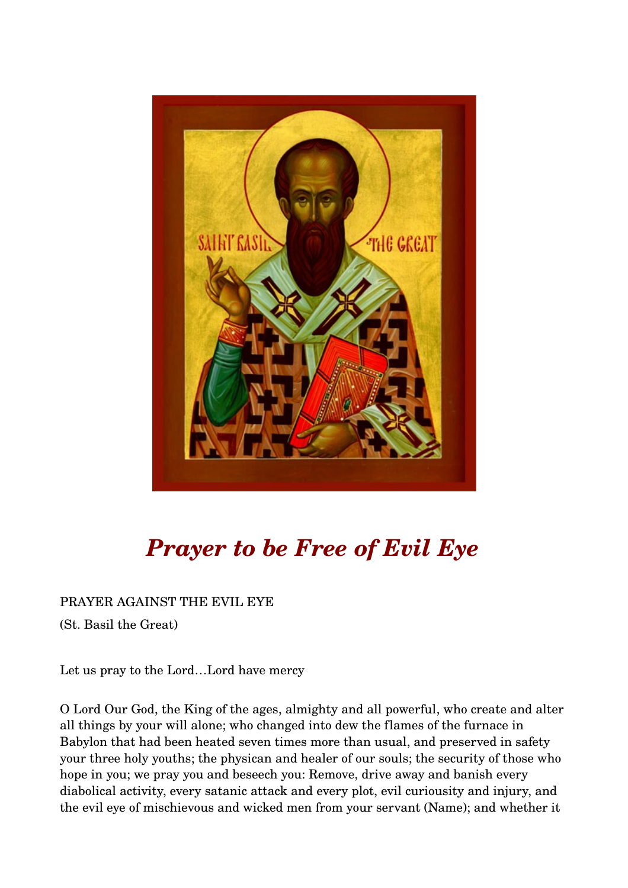

## *Prayer to be Free of Evil Eye*

PRAYER AGAINST THE EVIL EYE

(St. Basil the Great)

Let us pray to the Lord…Lord have mercy

O Lord Our God, the King of the ages, almighty and all powerful, who create and alter all things by your will alone; who changed into dew the flames of the furnace in Babylon that had been heated seven times more than usual, and preserved in safety your three holy youths; the physican and healer of our souls; the security of those who hope in you; we pray you and beseech you: Remove, drive away and banish every diabolical activity, every satanic attack and every plot, evil curiousity and injury, and the evil eye of mischievous and wicked men from your servant (Name); and whether it